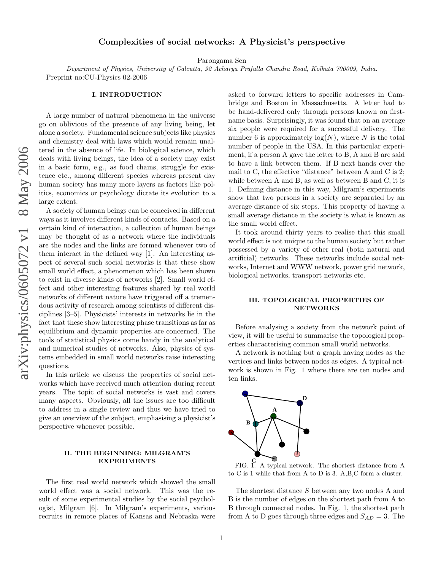# Complexities of social networks: A Physicist's perspectiv e

Parongama Sen

Department of Physics, University of Calcutta, 92 Acharya Prafulla Chandra Road, Kolkata 700009, India. Preprint no:CU-Physics 02-2006

## I. INTRODUCTION

A large number of natural phenomena in the universe go on oblivious of the presence of any living being, let alone a society. Fundamental science subjects like physics and chemistry deal with laws which would remain unaltered in the absence of life. In biological science, which deals with living beings, the idea of a society may exist in a basic form, e.g., as food chains, struggle for existence etc., among different species whereas present day human society has many more layers as factors like politics, economics or psychology dictate its evolution to a large extent.

A society of human beings can be conceived in different ways as it involves different kinds of contacts. Based on a certain kind of interaction, a collection of human beings may be thought of as a network where the individuals are the nodes and the links are formed whenever two of them interact in the defined way [1]. An interesting aspect of several such social networks is that these show small world effect, a phenomenon which has been shown to exist in diverse kinds of networks [2]. Small world effect and other interesting features shared by real world networks of different nature have triggered off a tremendous activity of research among scientists of different disciplines [3–5]. Physicists' interests in networks lie in the fact that these show interesting phase transitions as far as equilibrium and dynamic properties are concerned. The tools of statistical physics come handy in the analytical and numerical studies of networks. Also, physics of systems embedded in small world networks raise interesting questions.

In this article we discuss the properties of social networks which have received much attention during recent years. The topic of social networks is vast and covers many aspects. Obviously, all the issues are too difficult to address in a single review and thus we have tried to give an overview of the subject, emphasising a physicist's perspective whenever possible.

### II. THE BEGINNING: MILGRAM'S EXPERIMENTS

The first real world network which showed the small world effect was a social network. This was the result of some experimental studies by the social psychologist, Milgram [6]. In Milgram's experiments, various recruits in remote places of Kansas and Nebraska were

asked to forward letters to specific addresses in Cambridge and Boston in Massachusetts. A letter had to be hand-delivered only through persons known on firstname basis. Surprisingly, it was found that on an average six people were required for a successful delivery. The number 6 is approximately  $log(N)$ , where N is the total number of people in the USA. In this particular experiment, if a person A gave the letter to B, A and B are said to have a link between them. If B next hands over the mail to C, the effective "distance" between A and C is 2; while between A and B, as well as between B and C, it is 1. Defining distance in this way, Milgram's experiments show that two persons in a society are separated by an average distance of six steps. This property of having a small average distance in the society is what is known as the small world effect.

It took around thirty years to realise that this small world effect is not unique to the human society but rather possessed by a variety of other real (both natural and artificial) networks. These networks include social networks, Internet and WWW network, power grid network, biological networks, transport networks etc.

## III. TOPOLOGICAL PROPERTIES OF NETWORKS

Before analysing a society from the network point of view, it will be useful to summarise the topological properties characterising common small world networks.

A network is nothing but a graph having nodes as the vertices and links between nodes as edges. A typical network is shown in Fig. 1 where there are ten nodes and ten links.



**C** FIG. 1. A typical network. The shortest distance from A to C is 1 while that from A to D is 3. A,B,C form a cluster.

The shortest distance S between any two nodes A and B is the number of edges on the shortest path from A to B through connected nodes. In Fig. 1, the shortest path from A to D goes through three edges and  $S_{AD} = 3$ . The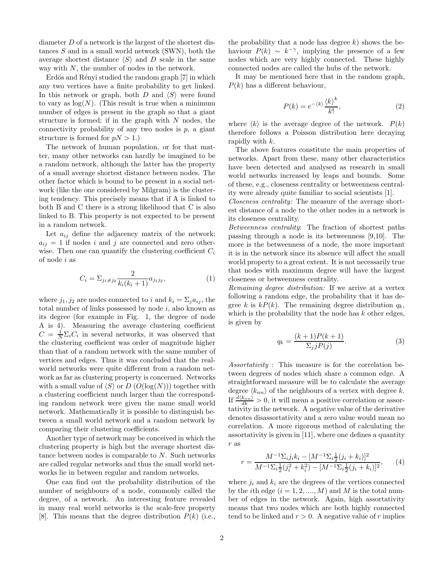diameter D of a network is the largest of the shortest distances  $S$  and in a small world network (SWN), both the average shortest distance  $\langle S \rangle$  and D scale in the same way with N, the number of nodes in the network.

Erdös and Rényi studied the random graph [7] in which any two vertices have a finite probability to get linked. In this network or graph, both D and  $\langle S \rangle$  were found to vary as  $log(N)$ . (This result is true when a minimum number of edges is present in the graph so that a giant structure is formed; if in the graph with  $N$  nodes, the connectivity probability of any two nodes is  $p$ , a giant structure is formed for  $pN > 1$ .)

The network of human population, or for that matter, many other networks can hardly be imagined to be a random network, although the latter has the property of a small average shortest distance between nodes. The other factor which is bound to be present in a social network (like the one considered by Milgram) is the clustering tendency. This precisely means that if A is linked to both B and C there is a strong likelihood that C is also linked to B. This property is not expected to be present in a random network.

Let  $a_{ij}$  define the adjacency matrix of the network;  $a_{ij} = 1$  if nodes i and j are connected and zero otherwise. Then one can quantify the clustering coefficient  $C_i$ of node i as

$$
C_i = \sum_{j_1 \neq j_2} \frac{2}{k_i(k_i+1)} a_{j_1 j_2},\tag{1}
$$

where  $j_1, j_2$  are nodes connected to i and  $k_i = \sum_j a_{ij}$ , the total number of links possessed by node  $i$ , also known as its degree (for example in Fig. 1, the degree of node A is 4). Measuring the average clustering coefficient  $C = \frac{1}{N} \sum_i C_i$  in several networks, it was observed that the clustering coefficient was order of magnitude higher than that of a random network with the same number of vertices and edges. Thus it was concluded that the realworld networks were quite different from a random network as far as clustering property is concerned. Networks with a small value of  $\langle S \rangle$  or D  $(O(\log(N)))$  together with a clustering coefficient much larger than the corresponding random network were given the name small world network. Mathematically it is possible to distinguish between a small world network and a random network by comparing their clustering coefficients.

Another type of network may be conceived in which the clustering property is high but the average shortest distance between nodes is comparable to  $N$ . Such networks are called regular networks and thus the small world networks lie in between regular and random networks.

One can find out the probability distribution of the number of neighbours of a node, commonly called the degree, of a network. An interesting feature revealed in many real world networks is the scale-free property [8]. This means that the degree distribution  $P(k)$  (i.e.,

the probability that a node has degree  $k$ ) shows the behaviour  $P(k) \sim k^{-\gamma}$ , implying the presence of a few nodes which are very highly connected. These highly connected nodes are called the hubs of the network.

It may be mentioned here that in the random graph,  $P(k)$  has a different behaviour,

$$
P(k) = e^{-\langle k \rangle} \frac{\langle k \rangle^k}{k!},\tag{2}
$$

where  $\langle k \rangle$  is the average degree of the network.  $P(k)$ therefore follows a Poisson distribution here decaying rapidly with k.

The above features constitute the main properties of networks. Apart from these, many other characteristics have been detected and analysed as research in small world networks increased by leaps and bounds. Some of these, e.g., closeness centrality or betweenness centrality were already quite familiar to social scientists [1].

Closeness centrality: The measure of the average shortest distance of a node to the other nodes in a network is its closeness centrality.

Betweenness centrality: The fraction of shortest paths passing through a node is its betweenness [9,10]. The more is the betweenness of a node, the more important it is in the network since its absence will affect the small world property to a great extent. It is not necessarily true that nodes with maximum degree will have the largest closeness or betweenness centrality.

Remaining degree distribution: If we arrive at a vertex following a random edge, the probability that it has degree k is  $kP(k)$ . The remaining degree distribution  $q_k$ , which is the probability that the node has  $k$  other edges, is given by

$$
q_k = \frac{(k+1)P(k+1)}{\sum_j j P(j)}.
$$
 (3)

Assortativity : This measure is for the correlation between degrees of nodes which share a common edge. A straightforward measure will be to calculate the average degree  $\langle k_{nn} \rangle$  of the neighbours of a vertex with degree k. If  $\frac{d\langle k_{nn}\rangle}{dk} > 0$ , it will mean a positive correlation or assortativity in the network. A negative value of the derivative denotes disassortativity and a zero value would mean no correlation. A more rigorous method of calculating the assortativity is given in [11], where one defines a quantity r as

$$
r = \frac{M^{-1} \Sigma_i j_i k_i - [M^{-1} \Sigma_i \frac{1}{2} (j_i + k_i)]^2}{M^{-1} \Sigma_i \frac{1}{2} (j_i^2 + k_i^2) - [M^{-1} \Sigma_i \frac{1}{2} (j_i + k_i)]^2},\tag{4}
$$

where  $j_i$  and  $k_i$  are the degrees of the vertices connected by the *i*th edge  $(i = 1, 2, ..., M)$  and M is the total number of edges in the network. Again, high assortativity means that two nodes which are both highly connected tend to be linked and  $r > 0$ . A negative value of r implies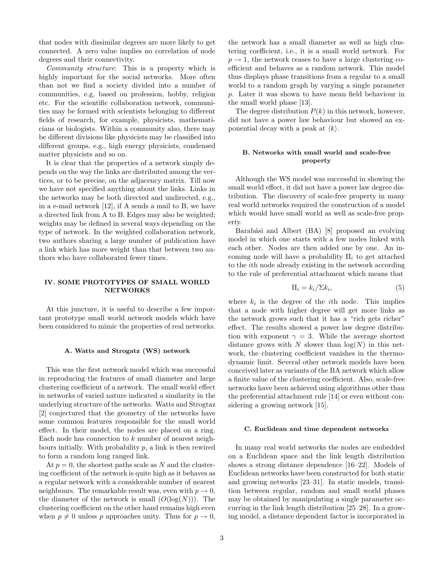that nodes with dissimilar degrees are more likely to get connected. A zero value implies no correlation of node degrees and their connectivity.

Community structure: This is a property which is highly important for the social networks. More often than not we find a society divided into a number of communities, e.g, based on profession, hobby, religion etc. For the scientific collaboration network, communities may be formed with scientists belonging to different fields of research, for example, physicists, mathematicians or biologists. Within a community also, there may be different divisions like physicists may be classified into different groups, e.g., high energy physicists, condensed matter physicists and so on.

It is clear that the properties of a network simply depends on the way the links are distributed among the vertices, or to be precise, on the adjacency matrix. Till now we have not specified anything about the links. Links in the networks may be both directed and undirected, e.g., in a e-mail network [12], if A sends a mail to B, we have a directed link from A to B. Edges may also be weighted; weights may be defined in several ways depending on the type of network. In the weighted collaboration network, two authors sharing a large number of publication have a link which has more weight than that between two authors who have collaborated fewer times.

## IV. SOME PROTOTYPES OF SMALL WORLD NETWORKS

At this juncture, it is useful to describe a few important prototype small world network models which have been considered to mimic the properties of real networks.

#### A. Watts and Strogatz (WS) network

This was the first network model which was successful in reproducing the features of small diameter and large clustering coefficient of a network. The small world effect in networks of varied nature indicated a similarity in the underlying structure of the networks. Watts and Strogtaz [2] conjectured that the geometry of the networks have some common features responsible for the small world effect. In their model, the nodes are placed on a ring. Each node has connection to  $k$  number of nearest neighbours initially. With probability  $p$ , a link is then rewired to form a random long ranged link.

At  $p = 0$ , the shortest paths scale as N and the clustering coefficient of the network is quite high as it behaves as a regular network with a considerable number of nearest neighbours. The remarkable result was, even with  $p \to 0$ , the diameter of the network is small  $(O(log(N)))$ . The clustering coefficient on the other hand remains high even when  $p \neq 0$  unless p approaches unity. Thus for  $p \to 0$ ,

the network has a small diameter as well as high clustering coefficient, i.e., it is a small world network. For  $p \rightarrow 1$ , the network ceases to have a large clustering coefficient and behaves as a random network. This model thus displays phase transitions from a regular to a small world to a random graph by varying a single parameter p. Later it was shown to have mean field behaviour in the small world phase [13].

The degree distribution  $P(k)$  in this network, however, did not have a power law behaviour but showed an exponential decay with a peak at  $\langle k \rangle$ .

## B. Networks with small world and scale-free property

Although the WS model was successful in showing the small world effect, it did not have a power law degree distribution. The discovery of scale-free property in many real world networks required the construction of a model which would have small world as well as scale-free property.

Barabási and Albert (BA) [8] proposed an evolving model in which one starts with a few nodes linked with each other. Nodes are then added one by one. An incoming node will have a probability  $\Pi_i$  to get attached to the ith node already existing in the network according to the rule of preferential attachment which means that

$$
\Pi_i = k_i / \Sigma k_i, \tag{5}
$$

where  $k_i$  is the degree of the *i*th node. This implies that a node with higher degree will get more links as the network grows such that it has a "rich gets richer" effect. The results showed a power law degree distribution with exponent  $\gamma = 3$ . While the average shortest distance grows with  $N$  slower than  $log(N)$  in this network, the clustering coefficient vanishes in the thermodynamic limit. Several other network models have been conceived later as variants of the BA network which allow a finite value of the clustering coefficient. Also, scale-free networks have been achieved using algorithms other than the preferential attachment rule [14] or even without considering a growing network [15].

#### C. Euclidean and time dependent networks

In many real world networks the nodes are embedded on a Euclidean space and the link length distribution shows a strong distance dependence [16–22]. Models of Euclidean networks have been constructed for both static and growing networks [23–31]. In static models, transition between regular, random and small world phases may be obtained by manipulating a single parameter occurring in the link length distribution [25–28]. In a growing model, a distance dependent factor is incorporated in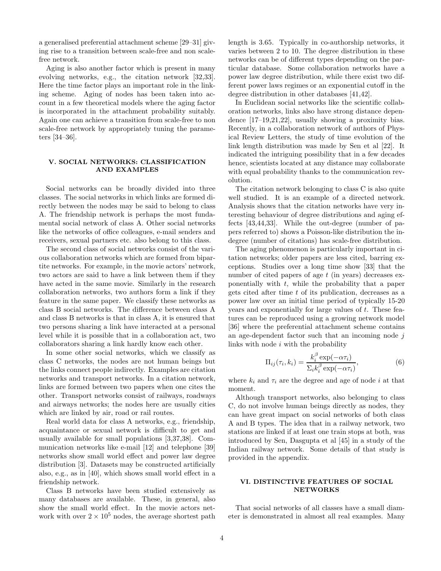a generalised preferential attachment scheme [29–31] giving rise to a transition between scale-free and non scalefree network.

Aging is also another factor which is present in many evolving networks, e.g., the citation network [32,33]. Here the time factor plays an important role in the linking scheme. Aging of nodes has been taken into account in a few theoretical models where the aging factor is incorporated in the attachment probability suitably. Again one can achieve a transition from scale-free to non scale-free network by appropriately tuning the parameters [34–36].

## V. SOCIAL NETWORKS: CLASSIFICATION AND EXAMPLES

Social networks can be broadly divided into three classes. The social networks in which links are formed directly between the nodes may be said to belong to class A. The friendship network is perhaps the most fundamental social network of class A. Other social networks like the networks of office colleagues, e-mail senders and receivers, sexual partners etc. also belong to this class.

The second class of social networks consist of the various collaboration networks which are formed from bipartite networks. For example, in the movie actors' network, two actors are said to have a link between them if they have acted in the same movie. Similarly in the research collaboration networks, two authors form a link if they feature in the same paper. We classify these networks as class B social networks. The difference between class A and class B networks is that in class A, it is ensured that two persons sharing a link have interacted at a personal level while it is possible that in a collaboration act, two collaborators sharing a link hardly know each other.

In some other social networks, which we classify as class C networks, the nodes are not human beings but the links connect people indirectly. Examples are citation networks and transport networks. In a citation network, links are formed between two papers when one cites the other. Transport networks consist of railways, roadways and airways networks; the nodes here are usually cities which are linked by air, road or rail routes.

Real world data for class A networks, e.g., friendship, acquaintance or sexual network is difficult to get and usually available for small populations [3,37,38]. Communication networks like e-mail [12] and telephone [39] networks show small world effect and power law degree distribution [3]. Datasets may be constructed artificially also, e.g., as in [40], which shows small world effect in a friendship network.

Class B networks have been studied extensively as many databases are available. These, in general, also show the small world effect. In the movie actors network with over  $2 \times 10^5$  nodes, the average shortest path length is 3.65. Typically in co-authorship networks, it varies between 2 to 10. The degree distribution in these networks can be of different types depending on the particular database. Some collaboration networks have a power law degree distribution, while there exist two different power laws regimes or an exponential cutoff in the degree distribution in other databases [41,42].

In Euclidean social networks like the scientific collaboration networks, links also have strong distance dependence [17–19,21,22], usually showing a proximity bias. Recently, in a collaboration network of authors of Physical Review Letters, the study of time evolution of the link length distribution was made by Sen et al [22]. It indicated the intriguing possibility that in a few decades hence, scientists located at any distance may collaborate with equal probability thanks to the communication revolution.

The citation network belonging to class C is also quite well studied. It is an example of a directed network. Analysis shows that the citation networks have very interesting behaviour of degree distributions and aging effects [43,44,33]. While the out-degree (number of papers referred to) shows a Poisson-like distribution the indegree (number of citations) has scale-free distribution.

The aging phenomenon is particularly important in citation networks; older papers are less cited, barring exceptions. Studies over a long time show [33] that the number of cited papers of age  $t$  (in years) decreases exponentially with  $t$ , while the probability that a paper gets cited after time t of its publication, decreases as a power law over an initial time period of typically 15-20 years and exponentially for large values of t. These features can be reproduced using a growing network model [36] where the preferential attachment scheme contains an age-dependent factor such that an incoming node  $j$ links with node  $i$  with the probability

$$
\Pi_{ij}(\tau_i, k_i) = \frac{k_i^{\beta} \exp(-\alpha \tau_i)}{\Sigma_i k_i^{\beta} \exp(-\alpha \tau_i)},
$$
\n(6)

where  $k_i$  and  $\tau_i$  are the degree and age of node i at that moment.

Although transport networks, also belonging to class C, do not involve human beings directly as nodes, they can have great impact on social networks of both class A and B types. The idea that in a railway network, two stations are linked if at least one train stops at both, was introduced by Sen, Dasgupta et al [45] in a study of the Indian railway network. Some details of that study is provided in the appendix.

## VI. DISTINCTIVE FEATURES OF SOCIAL NETWORKS

That social networks of all classes have a small diameter is demonstrated in almost all real examples. Many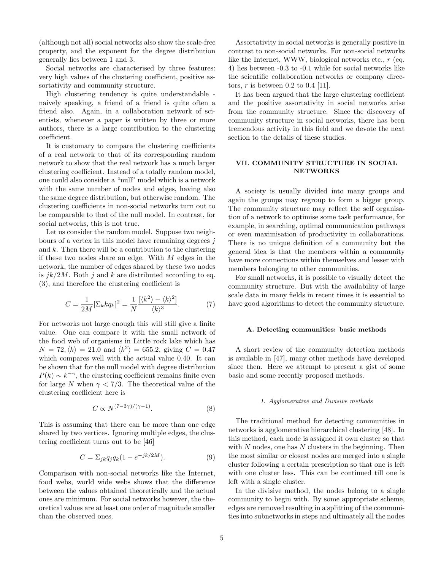(although not all) social networks also show the scale-free property, and the exponent for the degree distribution generally lies between 1 and 3.

Social networks are characterised by three features: very high values of the clustering coefficient, positive assortativity and community structure.

High clustering tendency is quite understandable naively speaking, a friend of a friend is quite often a friend also. Again, in a collaboration network of scientists, whenever a paper is written by three or more authors, there is a large contribution to the clustering coefficient.

It is customary to compare the clustering coefficients of a real network to that of its corresponding random network to show that the real network has a much larger clustering coefficient. Instead of a totally random model, one could also consider a "null" model which is a network with the same number of nodes and edges, having also the same degree distribution, but otherwise random. The clustering coefficients in non-social networks turn out to be comparable to that of the null model. In contrast, for social networks, this is not true.

Let us consider the random model. Suppose two neighbours of a vertex in this model have remaining degrees  $j$ and  $k$ . Then there will be a contribution to the clustering if these two nodes share an edge. With  $M$  edges in the network, the number of edges shared by these two nodes is  $ik/2M$ . Both j and k are distributed according to eq. (3), and therefore the clustering coefficient is

$$
C = \frac{1}{2M} [\Sigma_k k q_k]^2 = \frac{1}{N} \frac{[\langle k^2 \rangle - \langle k \rangle^2]}{\langle k \rangle^3}.
$$
 (7)

For networks not large enough this will still give a finite value. One can compare it with the small network of the food web of organisms in Little rock lake which has  $N = 72, \langle k \rangle = 21.0$  and  $\langle k^2 \rangle = 655.2$ , giving  $C = 0.47$ which compares well with the actual value 0.40. It can be shown that for the null model with degree distribution  $P(k) \sim k^{-\gamma}$ , the clustering coefficient remains finite even for large N when  $\gamma < 7/3$ . The theoretical value of the clustering coefficient here is

$$
C \propto N^{(7-3\gamma)/(\gamma-1)}.\tag{8}
$$

This is assuming that there can be more than one edge shared by two vertices. Ignoring multiple edges, the clustering coefficient turns out to be [46]

$$
C = \sum_{jk} q_j q_k (1 - e^{-jk/2M}). \tag{9}
$$

Comparison with non-social networks like the Internet, food webs, world wide webs shows that the difference between the values obtained theoretically and the actual ones are minimum. For social networks however, the theoretical values are at least one order of magnitude smaller than the observed ones.

Assortativity in social networks is generally positive in contrast to non-social networks. For non-social networks like the Internet, WWW, biological networks etc., r (eq. 4) lies between -0.3 to -0.1 while for social networks like the scientific collaboration networks or company directors,  $r$  is between 0.2 to 0.4 [11].

It has been argued that the large clustering coefficient and the positive assortativity in social networks arise from the community structure. Since the discovery of community structure in social networks, there has been tremendous activity in this field and we devote the next section to the details of these studies.

## VII. COMMUNITY STRUCTURE IN SOCIAL NETWORKS

A society is usually divided into many groups and again the groups may regroup to form a bigger group. The community structure may reflect the self organisation of a network to optimise some task performance, for example, in searching, optimal communication pathways or even maximisation of productivity in collaborations. There is no unique definition of a community but the general idea is that the members within a community have more connections within themselves and lesser with members belonging to other communities.

For small networks, it is possible to visually detect the community structure. But with the availability of large scale data in many fields in recent times it is essential to have good algorithms to detect the community structure.

## A. Detecting communities: basic methods

A short review of the community detection methods is available in [47], many other methods have developed since then. Here we attempt to present a gist of some basic and some recently proposed methods.

#### 1. Agglomerative and Divisive methods

The traditional method for detecting communities in networks is agglomerative hierarchical clustering [48]. In this method, each node is assigned it own cluster so that with  $N$  nodes, one has  $N$  clusters in the beginning. Then the most similar or closest nodes are merged into a single cluster following a certain prescription so that one is left with one cluster less. This can be continued till one is left with a single cluster.

In the divisive method, the nodes belong to a single community to begin with. By some appropriate scheme, edges are removed resulting in a splitting of the communities into subnetworks in steps and ultimately all the nodes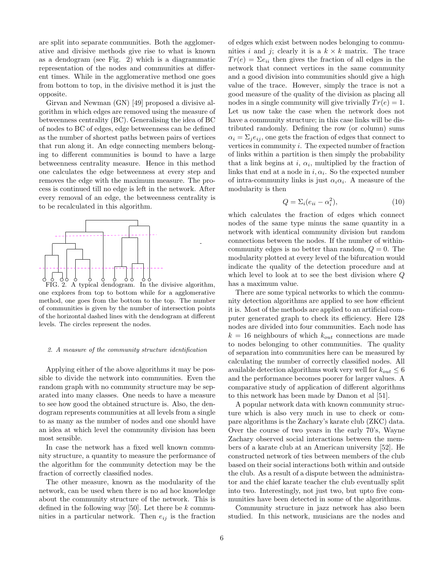are split into separate communities. Both the agglomerative and divisive methods give rise to what is known as a dendogram (see Fig. 2) which is a diagrammatic representation of the nodes and communities at different times. While in the agglomerative method one goes from bottom to top, in the divisive method it is just the opposite.

Girvan and Newman (GN) [49] proposed a divisive algorithm in which edges are removed using the measure of betweenness centrality (BC). Generalising the idea of BC of nodes to BC of edges, edge betweenness can be defined as the number of shortest paths between pairs of vertices that run along it. An edge connecting members belonging to different communities is bound to have a large betweenness centrality measure. Hence in this method one calculates the edge betweenness at every step and removes the edge with the maximum measure. The process is continued till no edge is left in the network. After every removal of an edge, the betweenness centrality is to be recalculated in this algorithm.



one explores from top to bottom while for a agglomerative method, one goes from the bottom to the top. The number of communities is given by the number of intersection points of the horizontal dashed lines with the dendogram at different levels. The circles represent the nodes.

#### 2. A measure of the community structure identification

Applying either of the above algorithms it may be possible to divide the network into communities. Even the random graph with no community structure may be separated into many classes. One needs to have a measure to see how good the obtained structure is. Also, the dendogram represents communities at all levels from a single to as many as the number of nodes and one should have an idea at which level the community division has been most sensible.

In case the network has a fixed well known community structure, a quantity to measure the performance of the algorithm for the community detection may be the fraction of correctly classified nodes.

The other measure, known as the modularity of the network, can be used when there is no ad hoc knowledge about the community structure of the network. This is defined in the following way [50]. Let there be  $k$  communities in a particular network. Then  $e_{ij}$  is the fraction of edges which exist between nodes belonging to communities i and j; clearly it is a  $k \times k$  matrix. The trace  $Tr(e) = \sum e_{ii}$  then gives the fraction of all edges in the network that connect vertices in the same community and a good division into communities should give a high value of the trace. However, simply the trace is not a good measure of the quality of the division as placing all nodes in a single community will give trivially  $Tr(e) = 1$ . Let us now take the case when the network does not have a community structure; in this case links will be distributed randomly. Defining the row (or column) sums  $\alpha_i = \sum_j e_{ij}$ , one gets the fraction of edges that connect to vertices in community i. The expected number of fraction of links within a partition is then simply the probability that a link begins at  $i$ ,  $\alpha_i$ , multiplied by the fraction of links that end at a node in  $i, \alpha_i$ . So the expected number of intra-community links is just  $\alpha_i \alpha_i$ . A measure of the modularity is then

$$
Q = \Sigma_i (e_{ii} - \alpha_i^2), \tag{10}
$$

which calculates the fraction of edges which connect nodes of the same type minus the same quantity in a network with identical community division but random connections between the nodes. If the number of withincommunity edges is no better than random,  $Q = 0$ . The modularity plotted at every level of the bifurcation would indicate the quality of the detection procedure and at which level to look at to see the best division where Q has a maximum value.

There are some typical networks to which the community detection algorithms are applied to see how efficient it is. Most of the methods are applied to an artificial computer generated graph to check its efficiency. Here 128 nodes are divided into four communities. Each node has  $k = 16$  neighbours of which  $k_{out}$  connections are made to nodes belonging to other communities. The quality of separation into communities here can be measured by calculating the number of correctly classified nodes. All available detection algorithms work very well for  $k_{out} \leq 6$ and the performance becomes poorer for larger values. A comparative study of application of different algorithms to this network has been made by Danon et al [51].

A popular network data with known community structure which is also very much in use to check or compare algorithms is the Zachary's karate club (ZKC) data. Over the course of two years in the early 70's, Wayne Zachary observed social interactions between the members of a karate club at an American university [52]. He constructed network of ties between members of the club based on their social interactions both within and outside the club. As a result of a dispute between the administrator and the chief karate teacher the club eventually split into two. Interestingly, not just two, but upto five communities have been detected in some of the algorithms.

Community structure in jazz network has also been studied. In this network, musicians are the nodes and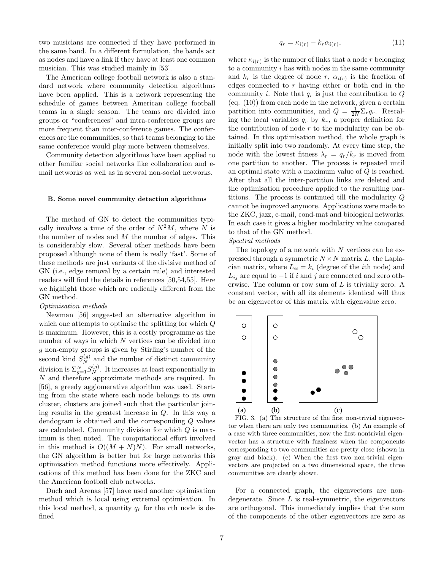two musicians are connected if they have performed in the same band. In a different formulation, the bands act as nodes and have a link if they have at least one common musician. This was studied mainly in [53].

The American college football network is also a standard network where community detection algorithms have been applied. This is a network representing the schedule of games between American college football teams in a single season. The teams are divided into groups or "conferences" and intra-conference groups are more frequent than inter-conference games. The conferences are the communities, so that teams belonging to the same conference would play more between themselves.

Community detection algorithms have been applied to other familiar social networks like collaboration and email networks as well as in several non-social networks.

### B. Some novel community detection algorithms

The method of GN to detect the communities typically involves a time of the order of  $N^2M$ , where N is the number of nodes and  $M$  the number of edges. This is considerably slow. Several other methods have been proposed although none of them is really 'fast'. Some of these methods are just variants of the divisive method of GN (i.e., edge removal by a certain rule) and interested readers will find the details in references [50,54,55]. Here we highlight those which are radically different from the GN method.

### Optimisation methods

Newman [56] suggested an alternative algorithm in which one attempts to optimise the splitting for which Q is maximum. However, this is a costly programme as the number of ways in which  $N$  vertices can be divided into g non-empty groups is given by Stirling's number of the second kind  $S_N^{(g)}$  and the number of distinct community division is  $\Sigma_{g=1}^N S_N^{(g)}$ . It increases at least exponentially in N and therefore approximate methods are required. In [56], a greedy agglomerative algorithm was used. Starting from the state where each node belongs to its own cluster, clusters are joined such that the particular joining results in the greatest increase in Q. In this way a dendogram is obtained and the corresponding Q values are calculated. Community division for which Q is maximum is then noted. The computational effort involved in this method is  $O((M + N)N)$ . For small networks, the GN algorithm is better but for large networks this optimisation method functions more effectively. Applications of this method has been done for the ZKC and the American football club networks.

Duch and Arenas [57] have used another optimisation method which is local using extremal optimisation. In this local method, a quantity  $q_r$  for the rth node is defined

$$
q_r = \kappa_{i(r)} - k_r \alpha_{i(r)}, \tag{11}
$$

where  $\kappa_{i(r)}$  is the number of links that a node r belonging to a community  $i$  has with nodes in the same community and  $k_r$  is the degree of node r,  $\alpha_{i(r)}$  is the fraction of edges connected to r having either or both end in the community i. Note that  $q_r$  is just the contribution to  $Q$ (eq. (10)) from each node in the network, given a certain partition into communities, and  $Q = \frac{1}{2N} \sum_r q_r$ . Rescaling the local variables  $q_r$  by  $k_r$ , a proper definition for the contribution of node  $r$  to the modularity can be obtained. In this optimisation method, the whole graph is initially split into two randomly. At every time step, the node with the lowest fitness  $\lambda_r = q_r/k_r$  is moved from one partition to another. The process is repeated until an optimal state with a maximum value of Q is reached. After that all the inter-partition links are deleted and the optimisation procedure applied to the resulting partitions. The process is continued till the modularity Q cannot be improved anymore. Applications were made to the ZKC, jazz, e-mail, cond-mat and biological networks. In each case it gives a higher modularity value compared to that of the GN method.

## Spectral methods

The topology of a network with  $N$  vertices can be expressed through a symmetric  $N \times N$  matrix L, the Laplacian matrix, where  $L_{ii} = k_i$  (degree of the *i*th node) and  $L_{ij}$  are equal to  $-1$  if i and j are connected and zero otherwise. The column or row sum of L is trivially zero. A constant vector, with all its elements identical will thus be an eigenvector of this matrix with eigenvalue zero.



FIG. 3. (a) The structure of the first non-trivial eigenvector when there are only two communities. (b) An example of a case with three communities, now the first nontrivial eigenvector has a structure with fuzziness when the components corresponding to two communities are pretty close (shown in gray and black). (c) When the first two non-trivial eigenvectors are projected on a two dimensional space, the three communities are clearly shown.

For a connected graph, the eigenvectors are nondegenerate. Since  $L$  is real-symmetric, the eigenvectors are orthogonal. This immediately implies that the sum of the components of the other eigenvectors are zero as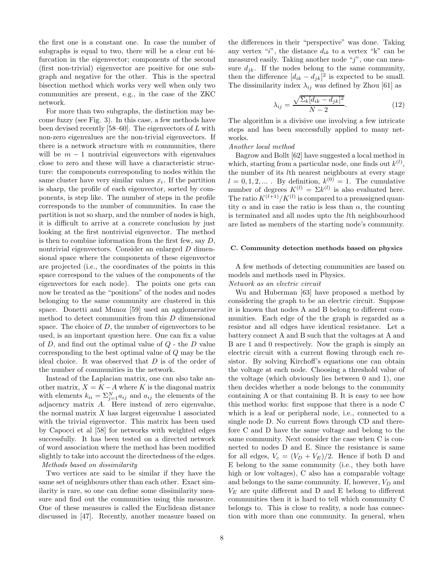the first one is a constant one. In case the number of subgraphs is equal to two, there will be a clear cut bifurcation in the eigenvector; components of the second (first non-trivial) eigenvector are positive for one subgraph and negative for the other. This is the spectral bisection method which works very well when only two communities are present, e.g., in the case of the ZKC network.

For more than two subgraphs, the distinction may become fuzzy (see Fig. 3). In this case, a few methods have been devised recently  $[58-60]$ . The eigenvectors of L with non-zero eigenvalues are the non-trivial eigenvectors. If there is a network structure with  $m$  communities, there will be  $m - 1$  nontrivial eigenvectors with eigenvalues close to zero and these will have a characteristic structure: the components corresponding to nodes within the same cluster have very similar values  $x_i$ . If the partition is sharp, the profile of each eigenvector, sorted by components, is step like. The number of steps in the profile corresponds to the number of communities. In case the partition is not so sharp, and the number of nodes is high, it is difficult to arrive at a concrete conclusion by just looking at the first nontrivial eigenvector. The method is then to combine information from the first few, say  $D$ , nontrivial eigenvectors. Consider an enlarged D dimensional space where the components of these eigenvector are projected (i.e., the coordinates of the points in this space correspond to the values of the components of the eigenvectors for each node). The points one gets can now be treated as the "positions" of the nodes and nodes belonging to the same community are clustered in this space. Donetti and Munoz [59] used an agglomerative method to detect communities from this D dimensional space. The choice of D, the number of eigenvectors to be used, is an important question here. One can fix a value of  $D$ , and find out the optimal value of  $Q$  - the  $D$  value corresponding to the best optimal value of Q may be the ideal choice. It was observed that  $D$  is of the order of the number of communities in the network.

Instead of the Laplacian matrix, one can also take another matrix,  $X = K - A$  where K is the diagonal matrix with elements  $k_{ii} = \sum_{j=1}^{N} a_{ij}$  and  $a_{ij}$  the elements of the adjacency matrix A. Here instead of zero eigenvalue, the normal matrix  $X$  has largest eigenvalue 1 associated with the trivial eigenvector. This matrix has been used by Capocci et al [58] for networks with weighted edges successfully. It has been tested on a directed network of word association where the method has been modified slightly to take into account the directedness of the edges. Methods based on dissimilarity

Two vertices are said to be similar if they have the same set of neighbours other than each other. Exact similarity is rare, so one can define some dissimilarity measure and find out the communities using this measure. One of these measures is called the Euclidean distance discussed in [47]. Recently, another measure based on

the differences in their "perspective" was done. Taking any vertex "i", the distance  $d_{ik}$  to a vertex "k" can be measured easily. Taking another node " $j$ ", one can measure  $d_{ik}$ . If the nodes belong to the same community, then the difference  $[d_{ik} - d_{jk}]^2$  is expected to be small. The dissimilarity index  $\lambda_{ij}$  was defined by Zhou [61] as

$$
\lambda_{ij} = \frac{\sqrt{\Sigma_k [d_{ik} - d_{jk}]^2}}{N - 2}.
$$
\n(12)

The algorithm is a divisive one involving a few intricate steps and has been successfully applied to many networks.

## Another local method

Bagrow and Bollt [62] have suggested a local method in which, starting from a particular node, one finds out  $k^{(l)}$ , the number of its lth nearest neighbours at every stage  $l = 0, 1, 2, ...$  By definition,  $k^{(0)} = 1$ . The cumulative number of degrees  $K^{(l)} = \Sigma k^{(l)}$  is also evaluated here. The ratio  $K^{(l+1)}/K^{(l)}$  is compared to a preassigned quantity  $\alpha$  and in case the ratio is less than  $\alpha$ , the counting is terminated and all nodes upto the lth neighbourhood are listed as members of the starting node's community.

#### C. Community detection methods based on physics

A few methods of detecting communities are based on models and methods used in Physics.

Network as an electric circuit

Wu and Huberman [63] have proposed a method by considering the graph to be an electric circuit. Suppose it is known that nodes A and B belong to different communities. Each edge of the the graph is regarded as a resistor and all edges have identical resistance. Let a battery connect A and B such that the voltages at A and B are 1 and 0 respectively. Now the graph is simply an electric circuit with a current flowing through each resistor. By solving Kirchoff's equations one can obtain the voltage at each node. Choosing a threshold value of the voltage (which obviously lies between 0 and 1), one then decides whether a node belongs to the community containing A or that containing B. It is easy to see how this method works: first suppose that there is a node C which is a leaf or peripheral node, i.e., connected to a single node D. No current flows through CD and therefore C and D have the same voltage and belong to the same community. Next consider the case when C is connected to nodes D and E. Since the resistance is same for all edges,  $V_c = (V_D + V_E)/2$ . Hence if both D and E belong to the same community (i.e., they both have high or low voltages), C also has a comparable voltage and belongs to the same community. If, however,  $V_D$  and  $V_E$  are quite different and D and E belong to different communities then it is hard to tell which community C belongs to. This is close to reality, a node has connection with more than one community. In general, when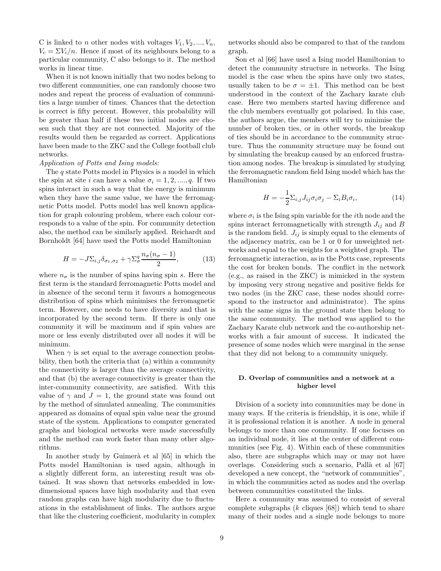C is linked to *n* other nodes with voltages  $V_1, V_2, ..., V_n$ ,  $V_c = \Sigma V_i/n$ . Hence if most of its neighbours belong to a particular community, C also belongs to it. The method works in linear time.

When it is not known initially that two nodes belong to two different communities, one can randomly choose two nodes and repeat the process of evaluation of communities a large number of times. Chances that the detection is correct is fifty percent. However, this probability will be greater than half if these two initial nodes are chosen such that they are not connected. Majority of the results would then be regarded as correct. Applications have been made to the ZKC and the College football club networks.

### Application of Potts and Ising models:

The  $q$  state Potts model in Physics is a model in which the spin at site i can have a value  $\sigma_i = 1, 2, \ldots, q$ . If two spins interact in such a way that the energy is minimum when they have the same value, we have the ferromagnetic Potts model. Potts model has well known application for graph colouring problem, where each colour corresponds to a value of the spin. For community detection also, the method can be similarly applied. Reichardt and Bornholdt [64] have used the Potts model Hamiltonian

$$
H = -J\Sigma_{i,j}\delta_{\sigma_1,\sigma_2} + \gamma \Sigma_{\sigma}^q \frac{n_{\sigma}(n_{\sigma}-1)}{2},\tag{13}
$$

where  $n_{\sigma}$  is the number of spins having spin s. Here the first term is the standard ferromagnetic Potts model and in absence of the second term it favours a homogeneous distribution of spins which minimises the ferromagnetic term. However, one needs to have diversity and that is incorporated by the second term. If there is only one community it will be maximum and if spin values are more or less evenly distributed over all nodes it will be minimum.

When  $\gamma$  is set equal to the average connection probability, then both the criteria that (a) within a community the connectivity is larger than the average connectivity, and that (b) the average connectivity is greater than the inter-community connectivity, are satisfied. With this value of  $\gamma$  and  $J = 1$ , the ground state was found out by the method of simulated annealing. The communities appeared as domains of equal spin value near the ground state of the system. Applications to computer generated graphs and biological networks were made successfully and the method can work faster than many other algorithms.

In another study by Guimerà et al [65] in which the Potts model Hamiltonian is used again, although in a slightly different form, an interesting result was obtained. It was shown that networks embedded in lowdimensional spaces have high modularity and that even random graphs can have high modularity due to fluctuations in the establishment of links. The authors argue that like the clustering coefficient, modularity in complex networks should also be compared to that of the random graph.

Son et al [66] have used a Ising model Hamiltonian to detect the community structure in networks. The Ising model is the case when the spins have only two states, usually taken to be  $\sigma = \pm 1$ . This method can be best understood in the context of the Zachary karate club case. Here two members started having difference and the club members eventually got polarised. In this case, the authors argue, the members will try to minimise the number of broken ties, or in other words, the breakup of ties should be in accordance to the community structure. Thus the community structure may be found out by simulating the breakup caused by an enforced frustration among nodes. The breakup is simulated by studying the ferromagnetic random field Ising model which has the Hamiltonian

$$
H = -\frac{1}{2} \Sigma_{i,j} J_{ij} \sigma_i \sigma_j - \Sigma_i B_i \sigma_i, \qquad (14)
$$

where  $\sigma_i$  is the Ising spin variable for the *i*<sup>th</sup> node and the spins interact ferromagnetically with strength  $J_{ij}$  and B is the random field.  $J_{ij}$  is simply equal to the elements of the adjacency matrix, can be 1 or 0 for unweighted networks and equal to the weights for a weighted graph. The ferromagnetic interaction, as in the Potts case, represents the cost for broken bonds. The conflict in the network (e.g., as raised in the ZKC) is mimicked in the system by imposing very strong negative and positive fields for two nodes (in the ZKC case, these nodes should correspond to the instructor and administrator). The spins with the same signs in the ground state then belong to the same community. The method was applied to the Zachary Karate club network and the co-authorship networks with a fair amount of success. It indicated the presence of some nodes which were marginal in the sense that they did not belong to a community uniquely.

### D. Overlap of communities and a network at a higher level

Division of a society into communities may be done in many ways. If the criteria is friendship, it is one, while if it is professional relation it is another. A node in general belongs to more than one community. If one focuses on an individual node, it lies at the center of different communities (see Fig. 4). Within each of these communities also, there are subgraphs which may or may not have overlaps. Considering such a scenario, Pallà et al [67] developed a new concept, the "network of communities", in which the communities acted as nodes and the overlap between communities constituted the links.

Here a community was assumed to consist of several complete subgraphs  $(k \text{ cliques } [68])$  which tend to share many of their nodes and a single node belongs to more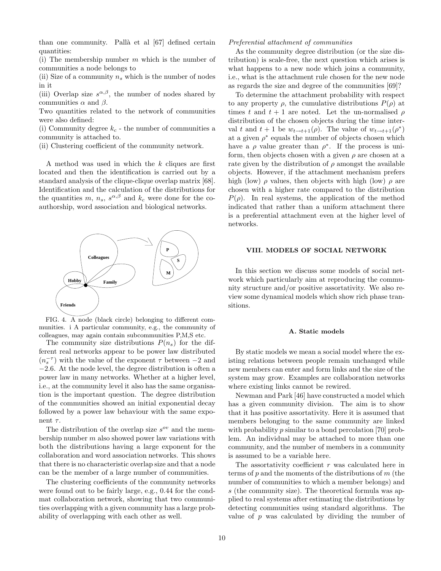than one community. Pallà et al [67] defined certain quantities:

(i) The membership number  $m$  which is the number of communities a node belongs to

(ii) Size of a community  $n_s$  which is the number of nodes in it

(iii) Overlap size  $s^{\alpha,\beta}$ , the number of nodes shared by communities  $\alpha$  and  $\beta$ .

Two quantities related to the network of communities were also defined:

(i) Community degree  $k_c$  - the number of communities a community is attached to.

(ii) Clustering coefficient of the community network.

A method was used in which the k cliques are first located and then the identification is carried out by a standard analysis of the clique-clique overlap matrix [68]. Identification and the calculation of the distributions for the quantities  $m, n_s, s^{\alpha,\beta}$  and  $k_c$  were done for the coauthorship, word association and biological networks.



FIG. 4. A node (black circle) belonging to different communities. i A particular community, e.g., the community of colleagues, may again contain subcommunities P,M,S etc.

The community size distributions  $P(n_s)$  for the different real networks appear to be power law distributed  $(n_s^{-\tau})$  with the value of the exponent  $\tau$  between  $-2$  and −2.6. At the node level, the degree distribution is often a power law in many networks. Whether at a higher level, i.e., at the community level it also has the same organisation is the important question. The degree distribution of the communities showed an initial exponential decay followed by a power law behaviour with the same exponent  $\tau$ .

The distribution of the overlap size  $s^{ov}$  and the membership number  $m$  also showed power law variations with both the distributions having a large exponent for the collaboration and word association networks. This shows that there is no characteristic overlap size and that a node can be the member of a large number of communities.

The clustering coefficients of the community networks were found out to be fairly large, e.g., 0.44 for the condmat collaboration network, showing that two communities overlapping with a given community has a large probability of overlapping with each other as well.

## Preferential attachment of communities

As the community degree distribution (or the size distribution) is scale-free, the next question which arises is what happens to a new node which joins a community, i.e., what is the attachment rule chosen for the new node as regards the size and degree of the communities [69]?

To determine the attachment probability with respect to any property  $\rho$ , the cumulative distributions  $P(\rho)$  at times t and  $t + 1$  are noted. Let the un-normalised  $\rho$ distribution of the chosen objects during the time interval t and  $t + 1$  be  $w_{t \to t+1}(\rho)$ . The value of  $w_{t \to t+1}(\rho^*)$ at a given  $\rho^*$  equals the number of objects chosen which have a  $\rho$  value greater than  $\rho^*$ . If the process is uniform, then objects chosen with a given  $\rho$  are chosen at a rate given by the distribution of  $\rho$  amongst the available objects. However, if the attachment mechanism prefers high (low)  $\rho$  values, then objects with high (low)  $\rho$  are chosen with a higher rate compared to the distribution  $P(\rho)$ . In real systems, the application of the method indicated that rather than a uniform attachment there is a preferential attachment even at the higher level of networks.

### VIII. MODELS OF SOCIAL NETWORK

In this section we discuss some models of social network which particularly aim at reproducing the community structure and/or positive assortativity. We also review some dynamical models which show rich phase transitions.

#### A. Static models

By static models we mean a social model where the existing relations between people remain unchanged while new members can enter and form links and the size of the system may grow. Examples are collaboration networks where existing links cannot be rewired.

Newman and Park [46] have constructed a model which has a given community division. The aim is to show that it has positive assortativity. Here it is assumed that members belonging to the same community are linked with probability p similar to a bond percolation [70] problem. An individual may be attached to more than one community, and the number of members in a community is assumed to be a variable here.

The assortativity coefficient  $r$  was calculated here in terms of  $p$  and the moments of the distributions of  $m$  (the number of communities to which a member belongs) and s (the community size). The theoretical formula was applied to real systems after estimating the distributions by detecting communities using standard algorithms. The value of  $p$  was calculated by dividing the number of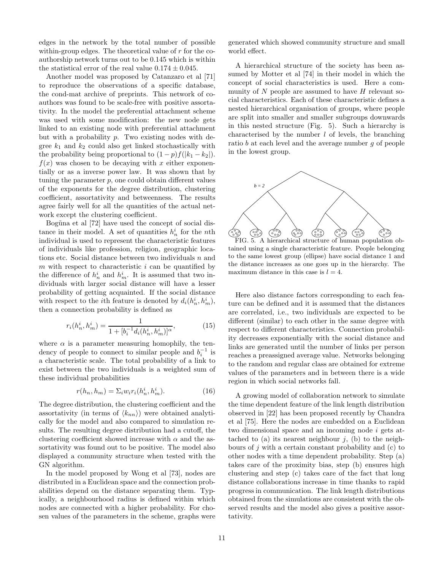edges in the network by the total number of possible within-group edges. The theoretical value of  $r$  for the coauthorship network turns out to be 0.145 which is within the statistical error of the real value  $0.174 \pm 0.045$ .

Another model was proposed by Catanzaro et al [71] to reproduce the observations of a specific database, the cond-mat archive of preprints. This network of coauthors was found to be scale-free with positive assortativity. In the model the preferential attachment scheme was used with some modification: the new node gets linked to an existing node with preferential attachment but with a probability  $p$ . Two existing nodes with degree  $k_1$  and  $k_2$  could also get linked stochastically with the probability being proportional to  $(1-p)f(|k_1 - k_2|)$ .  $f(x)$  was chosen to be decaying with x either exponentially or as a inverse power law. It was shown that by tuning the parameter  $p$ , one could obtain different values of the exponents for the degree distribution, clustering coefficient, assortativity and betweenness. The results agree fairly well for all the quantities of the actual network except the clustering coefficient.

Bogūna et al [72] have used the concept of social distance in their model. A set of quantities  $h_n^i$  for the *n*th individual is used to represent the characteristic features of individuals like profession, religion, geographic locations etc. Social distance between two individuals  $n$  and m with respect to characteristic  $i$  can be quantified by the difference of  $h_n^i$  and  $h_m^i$ . It is assumed that two individuals with larger social distance will have a lesser probability of getting acquainted. If the social distance with respect to the *i*<sup>th</sup> feature is denoted by  $d_i(h_n^i, h_m^i)$ , then a connection probability is defined as

$$
r_i(h_n^i, h_m^i) = \frac{1}{1 + [b_i^{-1}d_i(h_n^i, h_m^i)]^\alpha},\tag{15}
$$

where  $\alpha$  is a parameter measuring homophily, the tendency of people to connect to similar people and  $b_i^{-1}$  is a characteristic scale. The total probability of a link to exist between the two individuals is a weighted sum of these individual probabilities

$$
r(h_n, h_m) = \Sigma_i w_i r_i(h_n^i, h_m^i). \tag{16}
$$

The degree distribution, the clustering coefficient and the assortativity (in terms of  $\langle k_{nn} \rangle$ ) were obtained analytically for the model and also compared to simulation results. The resulting degree distribution had a cutoff, the clustering coefficient showed increase with  $\alpha$  and the assortativity was found out to be positive. The model also displayed a community structure when tested with the GN algorithm.

In the model proposed by Wong et al [73], nodes are distributed in a Euclidean space and the connection probabilities depend on the distance separating them. Typically, a neighbourhood radius is defined within which nodes are connected with a higher probability. For chosen values of the parameters in the scheme, graphs were generated which showed community structure and small world effect.

A hierarchical structure of the society has been assumed by Motter et al [74] in their model in which the concept of social characteristics is used. Here a community of  $N$  people are assumed to have  $H$  relevant social characteristics. Each of these characteristic defines a nested hierarchical organisation of groups, where people are split into smaller and smaller subgroups downwards in this nested structure (Fig. 5). Such a hierarchy is characterised by the number  $l$  of levels, the branching ratio b at each level and the average number g of people in the lowest group.



FIG. 5. A hierarchical structure of human population obtained using a single characteristic feature. People belonging to the same lowest group (ellipse) have social distance 1 and the distance increases as one goes up in the hierarchy. The maximum distance in this case is  $l = 4$ .

Here also distance factors corresponding to each feature can be defined and it is assumed that the distances are correlated, i.e., two individuals are expected to be different (similar) to each other in the same degree with respect to different characteristics. Connection probability decreases exponentially with the social distance and links are generated until the number of links per person reaches a preassigned average value. Networks belonging to the random and regular class are obtained for extreme values of the parameters and in between there is a wide region in which social networks fall.

A growing model of collaboration network to simulate the time dependent feature of the link length distribution observed in [22] has been proposed recently by Chandra et al [75]. Here the nodes are embedded on a Euclidean two dimensional space and an incoming node i gets attached to (a) its nearest neighbour  $j$ , (b) to the neighbours of  $j$  with a certain constant probability and  $(c)$  to other nodes with a time dependent probability. Step (a) takes care of the proximity bias, step (b) ensures high clustering and step (c) takes care of the fact that long distance collaborations increase in time thanks to rapid progress in communication. The link length distributions obtained from the simulations are consistent with the observed results and the model also gives a positive assortativity.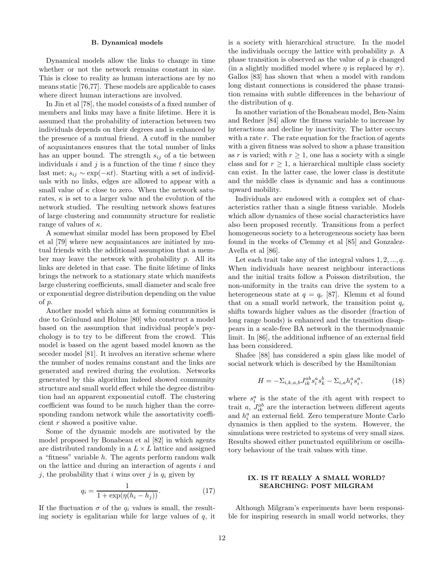### B. Dynamical models

Dynamical models allow the links to change in time whether or not the network remains constant in size. This is close to reality as human interactions are by no means static [76,77]. These models are applicable to cases where direct human interactions are involved.

In Jin et al [78], the model consists of a fixed number of members and links may have a finite lifetime. Here it is assumed that the probability of interaction between two individuals depends on their degrees and is enhanced by the presence of a mutual friend. A cutoff in the number of acquaintances ensures that the total number of links has an upper bound. The strength  $s_{ij}$  of a tie between individuals  $i$  and  $j$  is a function of the time  $t$  since they last met;  $s_{ij} \sim \exp(-\kappa t)$ . Starting with a set of individuals with no links, edges are allowed to appear with a small value of  $\kappa$  close to zero. When the network saturates,  $\kappa$  is set to a larger value and the evolution of the network studied. The resulting network shows features of large clustering and community structure for realistic range of values of  $\kappa$ .

A somewhat similar model has been proposed by Ebel et al [79] where new acquaintances are initiated by mutual friends with the additional assumption that a member may leave the network with probability  $p$ . All its links are deleted in that case. The finite lifetime of links brings the network to a stationary state which manifests large clustering coefficients, small diameter and scale free or exponential degree distribution depending on the value of p.

Another model which aims at forming communities is due to Grönlund and Holme [80] who construct a model based on the assumption that individual people's psychology is to try to be different from the crowd. This model is based on the agent based model known as the seceder model [81]. It involves an iterative scheme where the number of nodes remains constant and the links are generated and rewired during the evolution. Networks generated by this algorithm indeed showed community structure and small world effect while the degree distribution had an apparent exponential cutoff. The clustering coefficient was found to be much higher than the corresponding random network while the assortativity coefficient r showed a positive value.

Some of the dynamic models are motivated by the model proposed by Bonabeau et al [82] in which agents are distributed randomly in a  $L \times L$  lattice and assigned a "fitness" variable h. The agents perform random walk on the lattice and during an interaction of agents i and j, the probability that i wins over j is  $q_i$  given by

$$
q_i = \frac{1}{1 + \exp(\eta(h_i - h_j))}.
$$
 (17)

If the fluctuation  $\sigma$  of the  $q_i$  values is small, the resulting society is egalitarian while for large values of  $q$ , it is a society with hierarchical structure. In the model the individuals occupy the lattice with probability  $p$ . A phase transition is observed as the value of  $p$  is changed (in a slightly modified model where  $\eta$  is replaced by  $\sigma$ ). Gallos [83] has shown that when a model with random long distant connections is considered the phase transition remains with subtle differences in the behaviour of the distribution of q.

In another variation of the Bonabeau model, Ben-Naim and Redner [84] allow the fitness variable to increase by interactions and decline by inactivity. The latter occurs with a rate  $r$ . The rate equation for the fraction of agents with a given fitness was solved to show a phase transition as r is varied; with  $r \geq 1$ , one has a society with a single class and for  $r > 1$ , a hierarchical multiple class society can exist. In the latter case, the lower class is destitute and the middle class is dynamic and has a continuous upward mobility.

Individuals are endowed with a complex set of characteristics rather than a single fitness variable. Models which allow dynamics of these social characteristics have also been proposed recently. Transitions from a perfect homogeneous society to a heterogeneous society has been found in the works of Clemmy et al [85] and Gonzalez-Avella et al [86].

Let each trait take any of the integral values  $1, 2, ..., q$ . When individuals have nearest neighbour interactions and the initial traits follow a Poisson distribution, the non-uniformity in the traits can drive the system to a heterogeneous state at  $q = q_c$  [87]. Klemm et al found that on a small world network, the transition point  $q_c$ shifts towards higher values as the disorder (fraction of long range bonds) is enhanced and the transition disappears in a scale-free BA network in the thermodynamic limit. In [86], the additional influence of an external field has been considered.

Shafee [88] has considered a spin glass like model of social network which is described by the Hamiltonian

$$
H = -\Sigma_{i,k,a,b} J_{ik}^{ab} s_i^a s_k^b - \Sigma_{i,a} h_i^a s_i^a, \qquad (18)
$$

where  $s_i^a$  is the state of the *i*th agent with respect to trait a,  $J_{ik}^{ab}$  are the interaction between different agents and  $h_i^a$ an external field. Zero temperature Monte Carlo dynamics is then applied to the system. However, the simulations were restricted to systems of very small sizes. Results showed either punctuated equilibrium or oscillatory behaviour of the trait values with time.

## IX. IS IT REALLY A SMALL WORLD? SEARCHING: POST MILGRAM

Although Milgram's experiments have been responsible for inspiring research in small world networks, they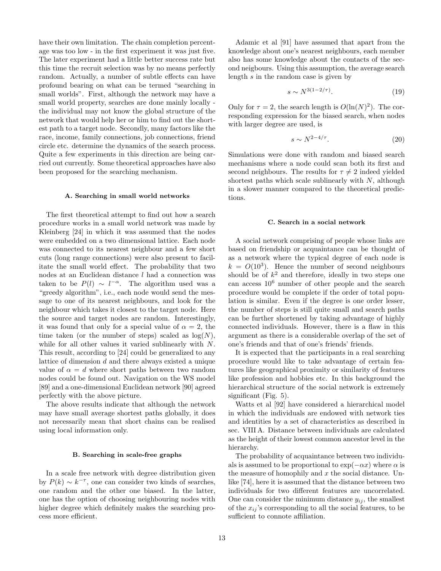have their own limitation. The chain completion percentage was too low - in the first experiment it was just five. The later experiment had a little better success rate but this time the recruit selection was by no means perfectly random. Actually, a number of subtle effects can have profound bearing on what can be termed "searching in small worlds". First, although the network may have a small world property, searches are done mainly locally the individual may not know the global structure of the network that would help her or him to find out the shortest path to a target node. Secondly, many factors like the race, income, family connections, job connections, friend circle etc. determine the dynamics of the search process. Quite a few experiments in this direction are being carried out currently. Some theoretical approaches have also been proposed for the searching mechanism.

### A. Searching in small world networks

The first theoretical attempt to find out how a search procedure works in a small world network was made by Kleinberg [24] in which it was assumed that the nodes were embedded on a two dimensional lattice. Each node was connected to its nearest neighbour and a few short cuts (long range connections) were also present to facilitate the small world effect. The probability that two nodes at an Euclidean distance l had a connection was taken to be  $P(l) \sim l^{-\alpha}$ . The algorithm used was a "greedy algorithm", i.e., each node would send the message to one of its nearest neighbours, and look for the neighbour which takes it closest to the target node. Here the source and target nodes are random. Interestingly, it was found that only for a special value of  $\alpha = 2$ , the time taken (or the number of steps) scaled as  $log(N)$ , while for all other values it varied sublinearly with  $N$ . This result, according to [24] could be generalized to any lattice of dimension d and there always existed a unique value of  $\alpha = d$  where short paths between two random nodes could be found out. Navigation on the WS model [89] and a one-dimensional Euclidean network [90] agreed perfectly with the above picture.

The above results indicate that although the network may have small average shortest paths globally, it does not necessarily mean that short chains can be realised using local information only.

### B. Searching in scale-free graphs

In a scale free network with degree distribution given by  $P(k) \sim k^{-\tau}$ , one can consider two kinds of searches, one random and the other one biased. In the latter, one has the option of choosing neighbouring nodes with higher degree which definitely makes the searching process more efficient.

Adamic et al [91] have assumed that apart from the knowledge about one's nearest neighbours, each member also has some knowledge about the contacts of the second neigbours. Using this assumption, the average search length s in the random case is given by

$$
s \sim N^{3(1-2/\tau)}.\tag{19}
$$

Only for  $\tau = 2$ , the search length is  $O(\ln(N)^2)$ . The corresponding expression for the biased search, when nodes with larger degree are used, is

$$
s \sim N^{2-4/\tau}.\tag{20}
$$

Simulations were done with random and biased search mechanisms where a node could scan both its first and second neighbours. The results for  $\tau \neq 2$  indeed yielded shortest paths which scale sublinearly with  $N$ , although in a slower manner compared to the theoretical predictions.

#### C. Search in a social network

A social network comprising of people whose links are based on friendship or acquaintance can be thought of as a network where the typical degree of each node is  $k = O(10^3)$ . Hence the number of second neighbours should be of  $k^2$  and therefore, ideally in two steps one can access  $10^6$  number of other people and the search procedure would be complete if the order of total population is similar. Even if the degree is one order lesser, the number of steps is still quite small and search paths can be further shortened by taking advantage of highly connected individuals. However, there is a flaw in this argument as there is a considerable overlap of the set of one's friends and that of one's friends' friends.

It is expected that the participants in a real searching procedure would like to take advantage of certain features like geographical proximity or similarity of features like profession and hobbies etc. In this background the hierarchical structure of the social network is extremely significant (Fig. 5).

Watts et al [92] have considered a hierarchical model in which the individuals are endowed with network ties and identities by a set of characteristics as described in sec. VIII A. Distance between individuals are calculated as the height of their lowest common ancestor level in the hierarchy.

The probability of acquaintance between two individuals is assumed to be proportional to  $\exp(-\alpha x)$  where  $\alpha$  is the measure of homophily and  $x$  the social distance. Unlike [74], here it is assumed that the distance between two individuals for two different features are uncorrelated. One can consider the minimum distance  $y_{ij}$ , the smallest of the  $x_{ij}$ 's corresponding to all the social features, to be sufficient to connote affiliation.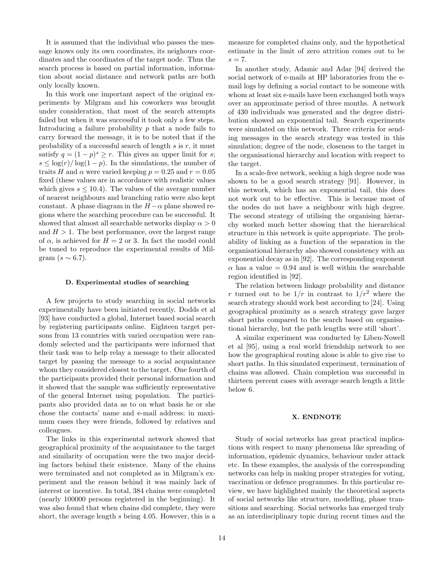It is assumed that the individual who passes the message knows only its own coordinates, its neighours coordinates and the coordinates of the target node. Thus the search process is based on partial information, information about social distance and network paths are both only locally known.

In this work one important aspect of the original experiments by Milgram and his coworkers was brought under consideration, that most of the search attempts failed but when it was successful it took only a few steps. Introducing a failure probability p that a node fails to carry forward the message, it is to be noted that if the probability of a successful search of length  $s$  is  $r$ , it must satisfy  $q = (1 - p)^s \ge r$ . This gives an upper limit for s;  $s \leq \log(r)/\log(1-p)$ . In the simulations, the number of traits H and  $\alpha$  were varied keeping  $p = 0.25$  and  $r = 0.05$ fixed (these values are in accordance with realistic values which gives  $s \leq 10.4$ . The values of the average number of nearest neighbours and branching ratio were also kept constant. A phase diagram in the  $H - \alpha$  plane showed regions where the searching procedure can be successful. It showed that almost all searchable networks display  $\alpha > 0$ and  $H > 1$ . The best performance, over the largest range of  $\alpha$ , is achieved for  $H = 2$  or 3. In fact the model could be tuned to reproduce the experimental results of Milgram  $(s \sim 6.7)$ .

#### D. Experimental studies of searching

A few projects to study searching in social networks experimentally have been initiated recently. Dodds et al [93] have conducted a global, Internet based social search by registering participants online. Eighteen target persons from 13 countries with varied occupation were randomly selected and the participants were informed that their task was to help relay a message to their allocated target by passing the message to a social acquaintance whom they considered closest to the target. One fourth of the participants provided their personal information and it showed that the sample was sufficiently representative of the general Internet using population. The participants also provided data as to on what basis he or she chose the contacts' name and e-mail address; in maximum cases they were friends, followed by relatives and colleagues.

The links in this experimental network showed that geographical proximity of the acquaintance to the target and similarity of occupation were the two major deciding factors behind their existence. Many of the chains were terminated and not completed as in Milgram's experiment and the reason behind it was mainly lack of interest or incentive. In total, 384 chains were completed (nearly 100000 persons registered in the beginning). It was also found that when chains did complete, they were short, the average length s being 4.05. However, this is a measure for completed chains only, and the hypothetical estimate in the limit of zero attrition comes out to be  $s = 7$ .

In another study, Adamic and Adar [94] derived the social network of e-mails at HP laboratories from the email logs by defining a social contact to be someone with whom at least six e-mails have been exchanged both ways over an approximate period of three months. A network of 430 individuals was generated and the degree distribution showed an exponential tail. Search experiments were simulated on this network. Three criteria for sending messages in the search strategy was tested in this simulation; degree of the node, closeness to the target in the organisational hierarchy and location with respect to the target.

In a scale-free network, seeking a high degree node was shown to be a good search strategy [91]. However, in this network, which has an exponential tail, this does not work out to be effective. This is because most of the nodes do not have a neighbour with high degree. The second strategy of utilising the organising hierarchy worked much better showing that the hierarchical structure in this network is quite appropriate. The probability of linking as a function of the separation in the organisational hierarchy also showed consistency with an exponential decay as in [92]. The corresponding exponent  $\alpha$  has a value = 0.94 and is well within the searchable region identified in [92].

The relation between linkage probability and distance r turned out to be  $1/r$  in contrast to  $1/r^2$  where the search strategy should work best according to [24]. Using geographical proximity as a search strategy gave larger short paths compared to the search based on organisational hierarchy, but the path lengths were still 'short'.

A similar experiment was conducted by Liben-Nowell et al [95], using a real world friendship network to see how the geographical routing alone is able to give rise to short paths. In this simulated experiment, termination of chains was allowed. Chain completion was successful in thirteen percent cases with average search length a little below 6.

### X. ENDNOTE

Study of social networks has great practical implications with respect to many phenomena like spreading of information, epidemic dynamics, behaviour under attack etc. In these examples, the analysis of the corresponding networks can help in making proper strategies for voting, vaccination or defence programmes. In this particular review, we have highlighted mainly the theoretical aspects of social networks like structure, modelling, phase transitions and searching. Social networks has emerged truly as an interdisciplinary topic during recent times and the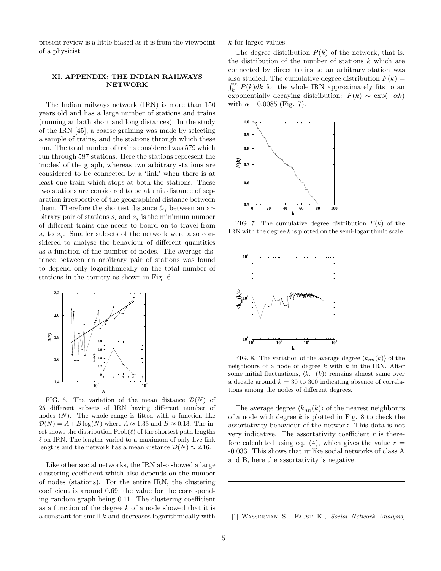present review is a little biased as it is from the viewpoint of a physicist.

## XI. APPENDIX: THE INDIAN RAILWAYS NETWORK

The Indian railways network (IRN) is more than 150 years old and has a large number of stations and trains (running at both short and long distances). In the study of the IRN [45], a coarse graining was made by selecting a sample of trains, and the stations through which these run. The total number of trains considered was 579 which run through 587 stations. Here the stations represent the 'nodes' of the graph, whereas two arbitrary stations are considered to be connected by a 'link' when there is at least one train which stops at both the stations. These two stations are considered to be at unit distance of separation irrespective of the geographical distance between them. Therefore the shortest distance  $\ell_{ij}$  between an arbitrary pair of stations  $s_i$  and  $s_j$  is the minimum number of different trains one needs to board on to travel from  $s_i$  to  $s_j$ . Smaller subsets of the network were also considered to analyse the behaviour of different quantities as a function of the number of nodes. The average distance between an arbitrary pair of stations was found to depend only logarithmically on the total number of stations in the country as shown in Fig. 6.



FIG. 6. The variation of the mean distance  $\mathcal{D}(N)$  of 25 different subsets of IRN having different number of nodes  $(N)$ . The whole range is fitted with a function like  $\mathcal{D}(N) = A + B \log(N)$  where  $A \approx 1.33$  and  $B \approx 0.13$ . The inset shows the distribution  $\text{Prob}(\ell)$  of the shortest path lengths  $\ell$  on IRN. The lengths varied to a maximum of only five link lengths and the network has a mean distance  $\mathcal{D}(N) \approx 2.16$ .

Like other social networks, the IRN also showed a large clustering coefficient which also depends on the number of nodes (stations). For the entire IRN, the clustering coefficient is around 0.69, the value for the corresponding random graph being 0.11. The clustering coefficient as a function of the degree k of a node showed that it is a constant for small  $k$  and decreases logarithmically with k for larger values.

The degree distribution  $P(k)$  of the network, that is, the distribution of the number of stations  $k$  which are connected by direct trains to an arbitrary station was also studied. The cumulative degree distribution  $F(k)$  =  $\int_k^{\infty} P(k)dk$  for the whole IRN approximately fits to an exponentially decaying distribution:  $F(k) \sim \exp(-\alpha k)$ with  $\alpha = 0.0085$  (Fig. 7).



FIG. 7. The cumulative degree distribution  $F(k)$  of the IRN with the degree k is plotted on the semi-logarithmic scale.



FIG. 8. The variation of the average degree  $\langle k_{nn}(k) \rangle$  of the neighbours of a node of degree  $k$  with  $k$  in the IRN. After some initial fluctuations,  $\langle k_{nn}(k) \rangle$  remains almost same over a decade around  $k = 30$  to 300 indicating absence of correlations among the nodes of different degrees.

The average degree  $\langle k_{nn}(k) \rangle$  of the nearest neighbours of a node with degree  $k$  is plotted in Fig. 8 to check the assortativity behaviour of the network. This data is not very indicative. The assortativity coefficient  $r$  is therefore calculated using eq. (4), which gives the value  $r =$ -0.033. This shows that unlike social networks of class A and B, here the assortativity is negative.

[1] Wasserman S., Faust K., Social Network Analysis,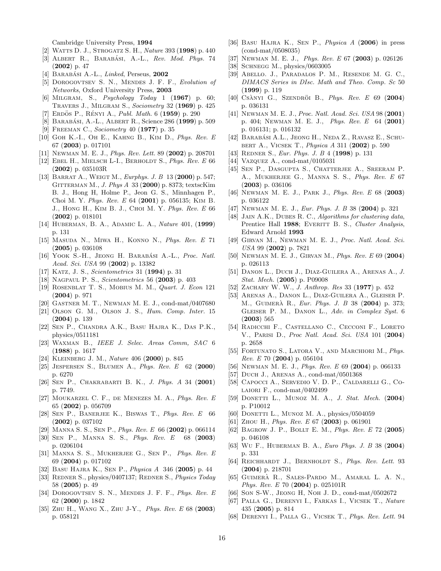Cambridge University Press, 1994

- [2] WATTS D. J., STROGATZ S. H., Nature 393 (1998) p. 440
- [3] ALBERT R., BARABÁSI, A.-L., Rev. Mod. Phys. 74  $(2002)$  p. 47
- [4] BARABÁSI A.-L., *Linked*, Perseus,  $2002$
- [5] DOROGOVTSEV S. N., MENDES J. F. F., Evolution of Networks, Oxford University Press, 2003
- [6] MILGRAM, S., *Psychology Today* 1 (1967) p. 60; Travers J., Milgram S., Sociometry 32 (1969) p. 425
- [7] ERDÖS P., RÉNYI A., Publ. Math. 6 (1959) p. 290
- [8] BARABÁSI, A.-L., ALBERT R., Science 286 (1999) p. 509
- [9] FREEMAN C., Sociometry 40 (1977) p. 35
- [10] Goh K.-I., Oh E., Kahng B., Kim D., Phys. Rev. E 67 (2003) p. 017101
- [11] Newman M. E. J., Phys. Rev. Lett. 89 (2002) p. 208701
- [12] EBEL H., MIELSCH L-I., BERHOLDT S., Phys. Rev. E 66 (2002) p. 035103R
- [13] BARRAT A., WEIGT M., *Eurphys. J. B* 13 (2000) p. 547; GITTERMAN M., J. Phys  $A$  33 (2000) p. 8373; textscKim B. J., Hong H, Holme P., Jeon G. S., Minnhagen P., Choi M. Y. Phys. Rev. E 64 (2001) p. 056135; Kim B. J., Hong H., Kim B. J., Choi M. Y. Phys. Rev. E 66 (2002) p. 018101
- [14] HUBERMAN, B. A., ADAMIC L. A., Nature 401, (1999) p. 131
- [15] Masuda N., Miwa H., Konno N., Phys. Rev. E 71 (2005) p. 036108
- [16] YOOK S.-H., JEONG H. BARABÁSI A.-L., Proc. Natl. Acad. Sci. USA 99 (2002) p. 13382
- [17] KATZ, J. S., *Scientometrics* 31 (**1994**) p. 31
- [18] Nagpaul P. S., Scientometrics 56 (2003) p. 403
- [19] Rosenblat T. S., Mobius M. M., Quart. J. Econ 121 (2004) p. 971
- [20] Gastner M. T., Newman M. E. J., cond-mat/0407680
- [21] Olson G. M., Olson J. S., Hum. Comp. Inter. 15 (2004) p. 139
- [22] Sen P., Chandra A.K., Basu Hajra K., Das P.K., physics/0511181
- [23] Waxman B., IEEE J. Selec. Areas Comm, SAC 6 (1988) p. 1617
- [24] KLEINBERG J. M., Nature 406 (2000) p. 845
- [25] Jespersen S., Blumen A., Phys. Rev. E 62 (2000) p. 6270
- [26] Sen P., Chakrabarti B. K., J. Phys. A 34 (2001) p. 7749.
- [27] Moukarzel C. F., de Menezes M. A., Phys. Rev. E 65 (2002) p. 056709
- [28] Sen P., Banerjee K., Biswas T., Phys. Rev. E 66 (2002) p. 037102
- [29] Manna S. S., Sen P., Phys. Rev. E 66 (2002) p. 066114
- [30] Sen P., Manna S. S., Phys. Rev. E 68 (2003) p. 0206104
- [31] MANNA S. S., MUKHERJEE G., SEN P., Phys. Rev. E 69 (2004) p. 017102
- [32] Basu Hajra K., Sen P., Physica A 346 (2005) p. 44
- [33] REDNER S., physics/0407137; REDNER S., *Physics Today* 58 (2005) p. 49
- [34] DOROGOVTSEV S. N., MENDES J. F. F., Phys. Rev. E 62 (2000) p. 1842
- [35] Zhu H., Wang X., Zhu J-Y., Phys. Rev. E 68 (2003) p. 058121
- [36] BASU HAJRA K., SEN P., *Physica A* (2006) in press (cond-mat/0508035)
- [37] Newman M. E. J., Phys. Rev. E 67 (2003) p. 026126
- [38] SCHNEGG M., physics/0603005
- [39] Abello. J., Paradalos P. M., Resende M. G. C., DIMACS Series in DIsc. Math and Theo. Comp. Sc 50 (1999) p. 119
- [40] CSANYI G., SZENDRÖI B., Phys. Rev. E 69 (2004) p. 036131
- [41] NEWMAN M. E. J., Proc. Natl. Acad. Sci. USA 98 (2001) p. 404; Newman M. E. J., Phys. Rev. E 64 (2001) p. 016131; p. 016132
- [42] BARABÁSI A.L., JEONG H., NEDA Z., RAVASZ E., SCHUbert A., Vicsek T., Physica A 311 (2002) p. 590
- [43] REDNER S., *Eur. Phys. J. B* 4 (1998) p. 131
- [44] Vazquez A., cond-mat/0105031
- [45] Sen P., Dasgupta S., Chatterjee A., Sreeram P. A., MUKHERJEE G., MANNA S. S., Phys. Rev. E 67 (2003) p. 036106
- [46] Newman M. E. J., Park J., Phys. Rev. E 68 (2003) p. 036122
- [47] Newman M. E. J., Eur. Phys. J. B 38 (2004) p. 321
- [48] JAIN A.K., DUBES R. C., Algorithms for clustering data, Prentice Hall 1988; EVERITT B. S., Cluster Analysis, Edward Arnold 1993
- [49] Girvan M., Newman M. E. J., Proc. Natl. Acad. Sci. USA 99 (2002) p. 7821
- [50] Newman M. E. J., Girvan M., Phys. Rev. E 69 (2004) p. 026113
- [51] Danon L., Duch J., Diaz-Guilera A., Arenas A., J. Stat. Mech. (2005) p. P09008
- [52] ZACHARY W. W., *J. Anthrop. Res* 33 (1977) p. 452
- [53] Arenas A., Danon L., Diaz-Guilera A., Gleiser P. M., GUIMERÀ R., Eur. Phys. J. B 38 (2004) p. 373; Gleiser P. M., Danon L., Adv. in Complex Syst. 6 (2003) 565
- [54] Radicchi F., Castellano C., Cecconi F., Loreto V., Parisi D., Proc Natl. Acad. Sci. USA 101 (2004) p. 2658
- [55] FORTUNATO S., LATORA V., AND MARCHIORI M., *Phys. Rev. E* 70 (2004) p. 056104
- [56] Newman M. E. J., Phys. Rev. E 69 (2004) p. 066133
- [57] DUCH J., ARENAS A., cond-mat/0501368
- [58] Capocci A., Servedio V. D. P., Caldarelli G., Colaiori F., cond-mat/0402499
- [59] DONETTI L., MUNOZ M. A., J. Stat. Mech. (2004) p. P10012
- [60] DONETTI L., MUNOZ M. A., physics/0504059
- [61] Zhou H., *Phys. Rev. E* 67 (2003) p. 061901
- [62] BAGROW J. P., BOLLT E. M., *Phys. Rev. E* 72 (2005) p. 046108
- [63] WU F., HUBERMAN B. A., *Euro Phys. J. B* 38 (2004) p. 331
- [64] REICHHARDT J., BERNHOLDT S., Phys. Rev. Lett. 93 (2004) p. 218701
- [65] GUIMERÀ R., SALES-PARDO M., AMARAL L. A. N., Phys. Rev. E 70 (2004) p. 025101R
- [66] Son S-W., Jeong H, Noh J. D., cond-mat/0502672
- [67] Palla G., Derenyi I., Farkas I., Vicsek T., Nature 435 (2005) p. 814
- [68] Derenyi I., Palla G., Vicsek T., Phys. Rev. Lett. 94